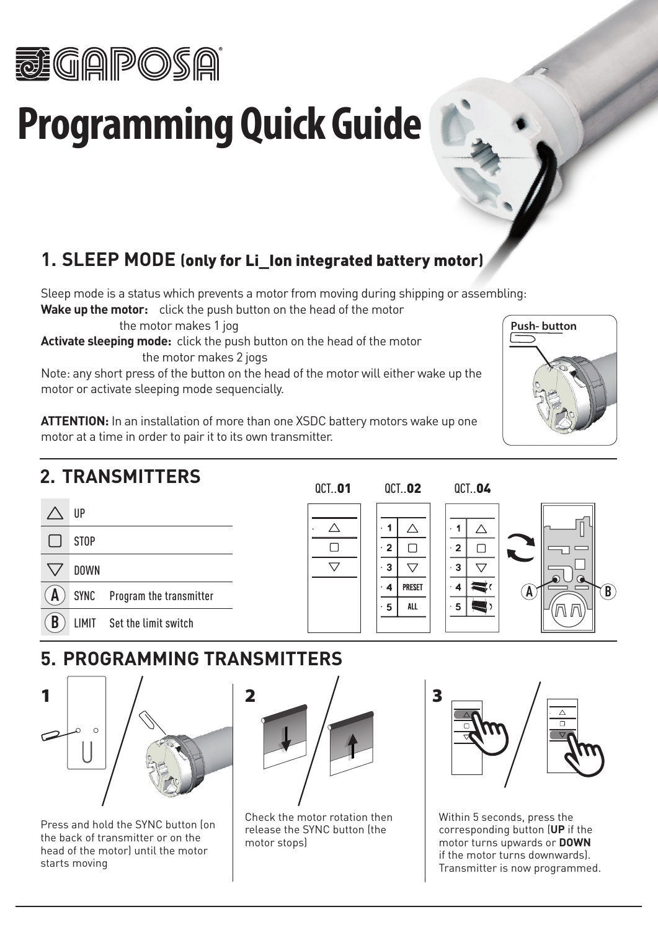

# **Programming Quick Guide**

## **1. SLEEP MODE (**only for Li\_Ion integrated battery motor**)**

Sleep mode is a status which prevents a motor from moving during shipping or assembling:

**Wake up the motor:** click the push button on the head of the motor

the motor makes 1 jog

**Activate sleeping mode:** click the push button on the head of the motor the motor makes 2 jogs

Note: any short press of the button on the head of the motor will either wake up the motor or activate sleeping mode sequencially.

**ATTENTION:** In an installation of more than one XSDC battery motors wake up one motor at a time in order to pair it to its own transmitter.

# **2. TRANSMITTERS**



#### $\wedge$  $\cdot$  1  $\Box$  $\cdot$  2  $\overline{\nabla}$  $\cdot$  3  $\cdot$  4  $\cdot$  5

#### QCT..01 QCT..02 QCT..04





## **5. PROGRAMMING TRANSMITTERS**



Press and hold the SYNC button (on the back of transmitter or on the head of the motor) until the motor starts moving



Check the motor rotation then release the SYNC button (the motor stops)



Within 5 seconds, press the corresponding button (**UP** if the motor turns upwards or **DOWN** if the motor turns downwards). Transmitter is now programmed.

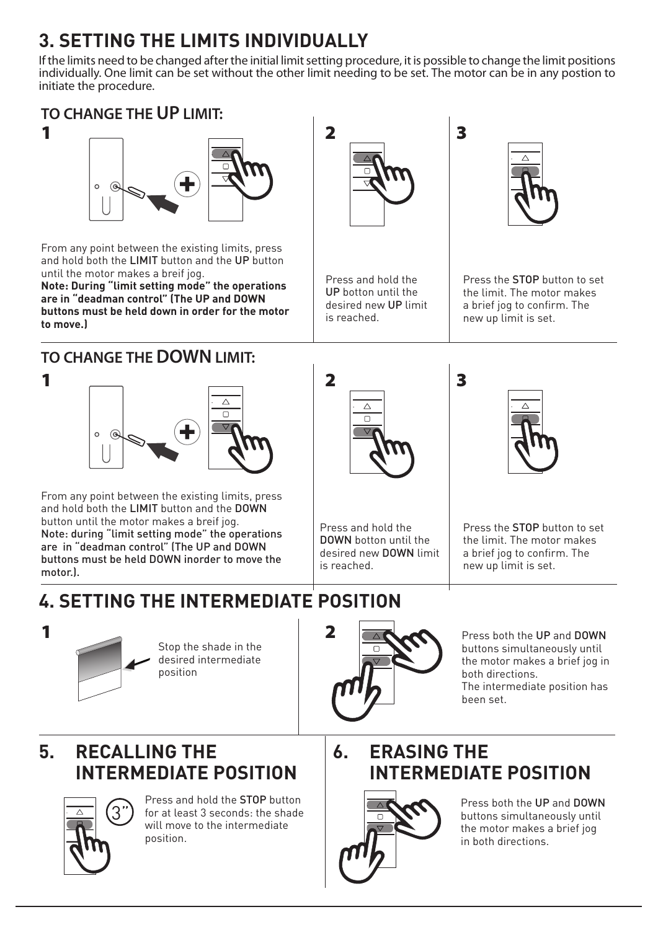# **3. SETTING THE LIMITS INDIVIDUALLY**

If the limits need to be changed after the initial limit setting procedure, it is possible to change the limit positions individually. One limit can be set without the other limit needing to be set. The motor can be in any postion to initiate the procedure.



From any point between the existing limits, press and hold both the LIMIT button and the UP button until the motor makes a breif jog.

**Note: During "limit setting mode" the operations are in "deadman control" (The UP and DOWN buttons must be held down in order for the motor to move.)**

#### **TO CHANGE THE DOWN LIMIT:**

1



From any point between the existing limits, press and hold both the LIMIT button and the DOWN button until the motor makes a breif jog. Note: during "limit setting mode" the operations are in "deadman control" (The UP and DOWN buttons must be held DOWN inorder to move the motor.).

# **4. SETTING THE INTERMEDIATE POSITION**



Stop the shade in the desired intermediate position



Press both the UP and DOWN buttons simultaneously until the motor makes a brief jog in both directions. The intermediate position has been set.

# **5. RECALLING THE INTERMEDIATE POSITION**



Press and hold the STOP button for at least 3 seconds: the shade will move to the intermediate position.

### **6. ERASING THE INTERMEDIATE POSITION**



Press both the UP and DOWN buttons simultaneously until the motor makes a brief jog in both directions.



Press and hold the DOWN botton until the desired new DOWN limit

is reached.

Press and hold the UP botton until the desired new UP limit

is reached.



Press the STOP button to set the limit. The motor makes a brief jog to confirm. The new up limit is set.



Press the STOP button to set



3